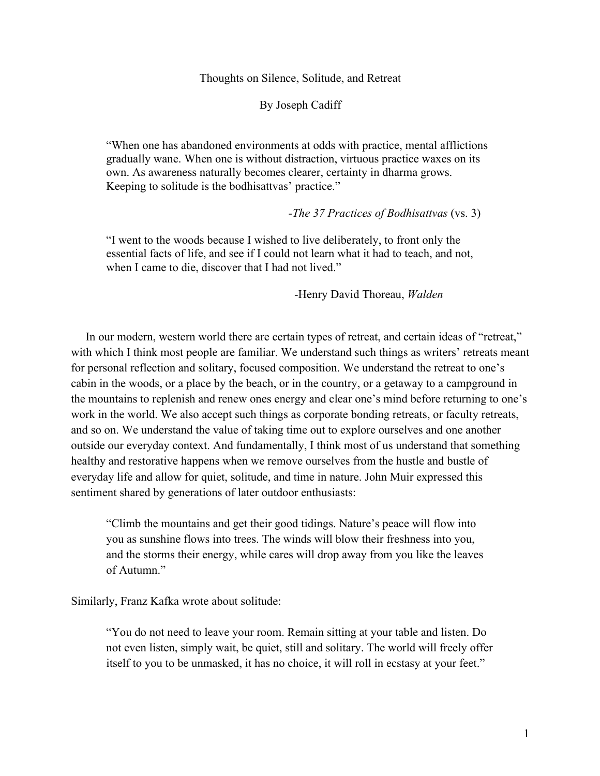#### Thoughts on Silence, Solitude, and Retreat

By Joseph Cadiff

"When one has abandoned environments at odds with practice, mental afflictions gradually wane. When one is without distraction, virtuous practice waxes on its own. As awareness naturally becomes clearer, certainty in dharma grows. Keeping to solitude is the bodhisattvas' practice."

#### -*The 37 Practices of Bodhisattvas* (vs. 3)

"I went to the woods because I wished to live deliberately, to front only the essential facts of life, and see if I could not learn what it had to teach, and not, when I came to die, discover that I had not lived."

-Henry David Thoreau, *Walden*

 In our modern, western world there are certain types of retreat, and certain ideas of "retreat," with which I think most people are familiar. We understand such things as writers' retreats meant for personal reflection and solitary, focused composition. We understand the retreat to one's cabin in the woods, or a place by the beach, or in the country, or a getaway to a campground in the mountains to replenish and renew ones energy and clear one's mind before returning to one's work in the world. We also accept such things as corporate bonding retreats, or faculty retreats, and so on. We understand the value of taking time out to explore ourselves and one another outside our everyday context. And fundamentally, I think most of us understand that something healthy and restorative happens when we remove ourselves from the hustle and bustle of everyday life and allow for quiet, solitude, and time in nature. John Muir expressed this sentiment shared by generations of later outdoor enthusiasts:

"Climb the mountains and get their good tidings. Nature's peace will flow into you as sunshine flows into trees. The winds will blow their freshness into you, and the storms their energy, while cares will drop away from you like the leaves of Autumn."

Similarly, Franz Kafka wrote about solitude:

"You do not need to leave your room. Remain sitting at your table and listen. Do not even listen, simply wait, be quiet, still and solitary. The world will freely offer itself to you to be unmasked, it has no choice, it will roll in ecstasy at your feet."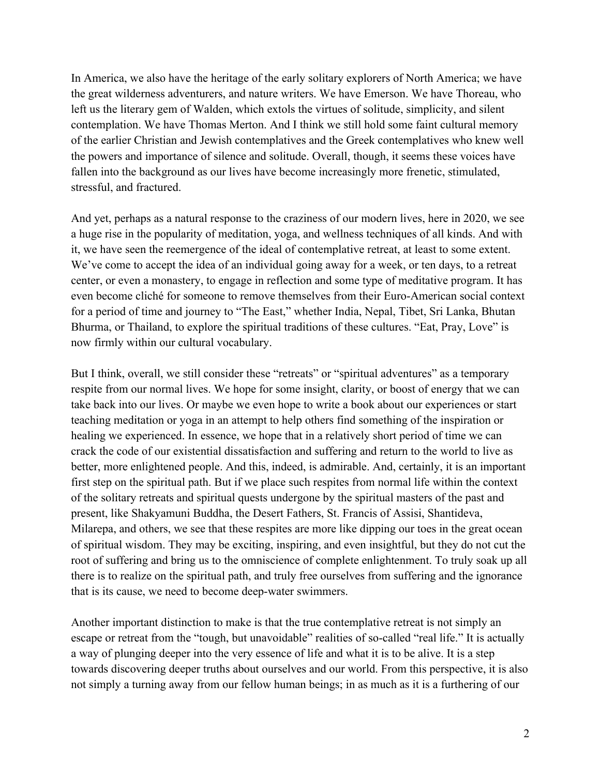In America, we also have the heritage of the early solitary explorers of North America; we have the great wilderness adventurers, and nature writers. We have Emerson. We have Thoreau, who left us the literary gem of Walden, which extols the virtues of solitude, simplicity, and silent contemplation. We have Thomas Merton. And I think we still hold some faint cultural memory of the earlier Christian and Jewish contemplatives and the Greek contemplatives who knew well the powers and importance of silence and solitude. Overall, though, it seems these voices have fallen into the background as our lives have become increasingly more frenetic, stimulated, stressful, and fractured.

And yet, perhaps as a natural response to the craziness of our modern lives, here in 2020, we see a huge rise in the popularity of meditation, yoga, and wellness techniques of all kinds. And with it, we have seen the reemergence of the ideal of contemplative retreat, at least to some extent. We've come to accept the idea of an individual going away for a week, or ten days, to a retreat center, or even a monastery, to engage in reflection and some type of meditative program. It has even become cliché for someone to remove themselves from their Euro-American social context for a period of time and journey to "The East," whether India, Nepal, Tibet, Sri Lanka, Bhutan Bhurma, or Thailand, to explore the spiritual traditions of these cultures. "Eat, Pray, Love" is now firmly within our cultural vocabulary.

But I think, overall, we still consider these "retreats" or "spiritual adventures" as a temporary respite from our normal lives. We hope for some insight, clarity, or boost of energy that we can take back into our lives. Or maybe we even hope to write a book about our experiences or start teaching meditation or yoga in an attempt to help others find something of the inspiration or healing we experienced. In essence, we hope that in a relatively short period of time we can crack the code of our existential dissatisfaction and suffering and return to the world to live as better, more enlightened people. And this, indeed, is admirable. And, certainly, it is an important first step on the spiritual path. But if we place such respites from normal life within the context of the solitary retreats and spiritual quests undergone by the spiritual masters of the past and present, like Shakyamuni Buddha, the Desert Fathers, St. Francis of Assisi, Shantideva, Milarepa, and others, we see that these respites are more like dipping our toes in the great ocean of spiritual wisdom. They may be exciting, inspiring, and even insightful, but they do not cut the root of suffering and bring us to the omniscience of complete enlightenment. To truly soak up all there is to realize on the spiritual path, and truly free ourselves from suffering and the ignorance that is its cause, we need to become deep-water swimmers.

Another important distinction to make is that the true contemplative retreat is not simply an escape or retreat from the "tough, but unavoidable" realities of so-called "real life." It is actually a way of plunging deeper into the very essence of life and what it is to be alive. It is a step towards discovering deeper truths about ourselves and our world. From this perspective, it is also not simply a turning away from our fellow human beings; in as much as it is a furthering of our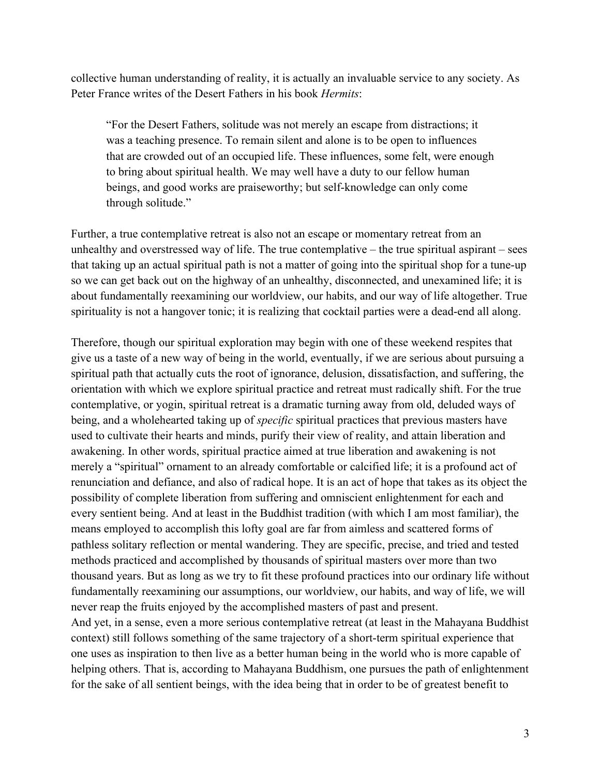collective human understanding of reality, it is actually an invaluable service to any society. As Peter France writes of the Desert Fathers in his book *Hermits*:

"For the Desert Fathers, solitude was not merely an escape from distractions; it was a teaching presence. To remain silent and alone is to be open to influences that are crowded out of an occupied life. These influences, some felt, were enough to bring about spiritual health. We may well have a duty to our fellow human beings, and good works are praiseworthy; but self-knowledge can only come through solitude."

Further, a true contemplative retreat is also not an escape or momentary retreat from an unhealthy and overstressed way of life. The true contemplative – the true spiritual aspirant – sees that taking up an actual spiritual path is not a matter of going into the spiritual shop for a tune-up so we can get back out on the highway of an unhealthy, disconnected, and unexamined life; it is about fundamentally reexamining our worldview, our habits, and our way of life altogether. True spirituality is not a hangover tonic; it is realizing that cocktail parties were a dead-end all along.

Therefore, though our spiritual exploration may begin with one of these weekend respites that give us a taste of a new way of being in the world, eventually, if we are serious about pursuing a spiritual path that actually cuts the root of ignorance, delusion, dissatisfaction, and suffering, the orientation with which we explore spiritual practice and retreat must radically shift. For the true contemplative, or yogin, spiritual retreat is a dramatic turning away from old, deluded ways of being, and a wholehearted taking up of *specific* spiritual practices that previous masters have used to cultivate their hearts and minds, purify their view of reality, and attain liberation and awakening. In other words, spiritual practice aimed at true liberation and awakening is not merely a "spiritual" ornament to an already comfortable or calcified life; it is a profound act of renunciation and defiance, and also of radical hope. It is an act of hope that takes as its object the possibility of complete liberation from suffering and omniscient enlightenment for each and every sentient being. And at least in the Buddhist tradition (with which I am most familiar), the means employed to accomplish this lofty goal are far from aimless and scattered forms of pathless solitary reflection or mental wandering. They are specific, precise, and tried and tested methods practiced and accomplished by thousands of spiritual masters over more than two thousand years. But as long as we try to fit these profound practices into our ordinary life without fundamentally reexamining our assumptions, our worldview, our habits, and way of life, we will never reap the fruits enjoyed by the accomplished masters of past and present. And yet, in a sense, even a more serious contemplative retreat (at least in the Mahayana Buddhist context) still follows something of the same trajectory of a short-term spiritual experience that one uses as inspiration to then live as a better human being in the world who is more capable of helping others. That is, according to Mahayana Buddhism, one pursues the path of enlightenment

for the sake of all sentient beings, with the idea being that in order to be of greatest benefit to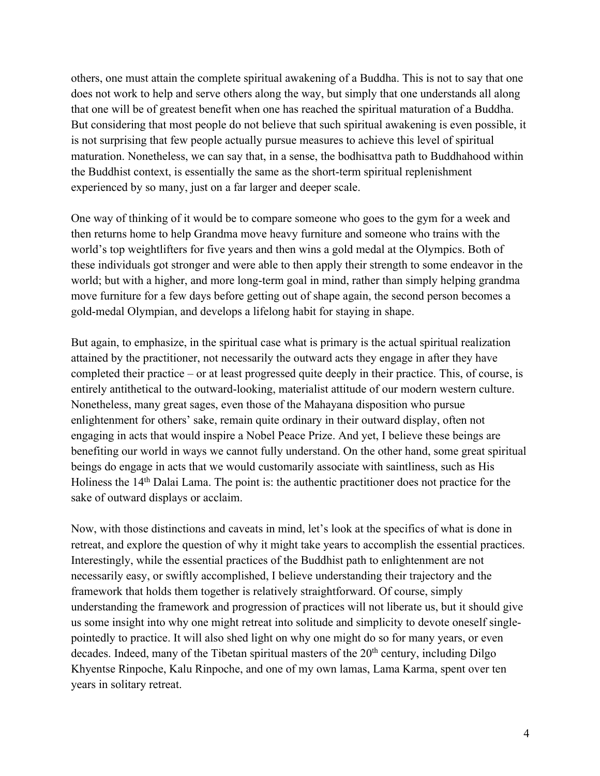others, one must attain the complete spiritual awakening of a Buddha. This is not to say that one does not work to help and serve others along the way, but simply that one understands all along that one will be of greatest benefit when one has reached the spiritual maturation of a Buddha. But considering that most people do not believe that such spiritual awakening is even possible, it is not surprising that few people actually pursue measures to achieve this level of spiritual maturation. Nonetheless, we can say that, in a sense, the bodhisattva path to Buddhahood within the Buddhist context, is essentially the same as the short-term spiritual replenishment experienced by so many, just on a far larger and deeper scale.

One way of thinking of it would be to compare someone who goes to the gym for a week and then returns home to help Grandma move heavy furniture and someone who trains with the world's top weightlifters for five years and then wins a gold medal at the Olympics. Both of these individuals got stronger and were able to then apply their strength to some endeavor in the world; but with a higher, and more long-term goal in mind, rather than simply helping grandma move furniture for a few days before getting out of shape again, the second person becomes a gold-medal Olympian, and develops a lifelong habit for staying in shape.

But again, to emphasize, in the spiritual case what is primary is the actual spiritual realization attained by the practitioner, not necessarily the outward acts they engage in after they have completed their practice – or at least progressed quite deeply in their practice. This, of course, is entirely antithetical to the outward-looking, materialist attitude of our modern western culture. Nonetheless, many great sages, even those of the Mahayana disposition who pursue enlightenment for others' sake, remain quite ordinary in their outward display, often not engaging in acts that would inspire a Nobel Peace Prize. And yet, I believe these beings are benefiting our world in ways we cannot fully understand. On the other hand, some great spiritual beings do engage in acts that we would customarily associate with saintliness, such as His Holiness the 14th Dalai Lama. The point is: the authentic practitioner does not practice for the sake of outward displays or acclaim.

Now, with those distinctions and caveats in mind, let's look at the specifics of what is done in retreat, and explore the question of why it might take years to accomplish the essential practices. Interestingly, while the essential practices of the Buddhist path to enlightenment are not necessarily easy, or swiftly accomplished, I believe understanding their trajectory and the framework that holds them together is relatively straightforward. Of course, simply understanding the framework and progression of practices will not liberate us, but it should give us some insight into why one might retreat into solitude and simplicity to devote oneself singlepointedly to practice. It will also shed light on why one might do so for many years, or even decades. Indeed, many of the Tibetan spiritual masters of the  $20<sup>th</sup>$  century, including Dilgo Khyentse Rinpoche, Kalu Rinpoche, and one of my own lamas, Lama Karma, spent over ten years in solitary retreat.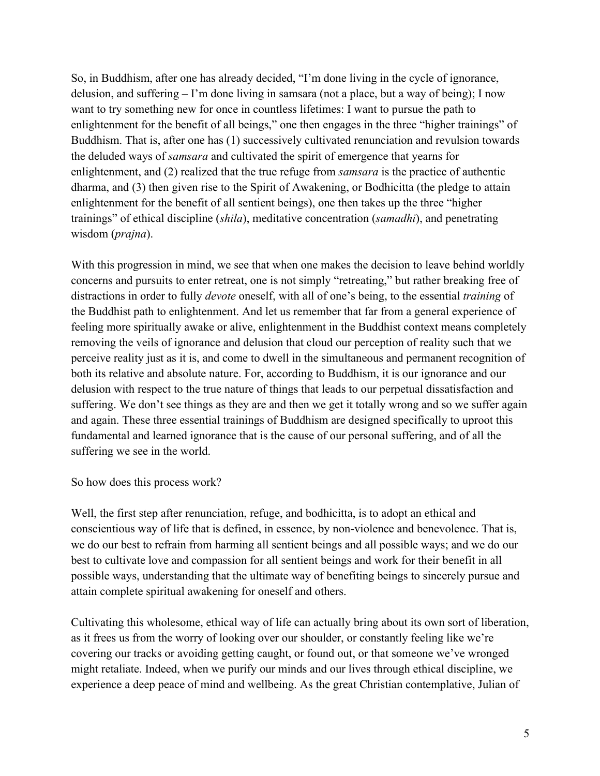So, in Buddhism, after one has already decided, "I'm done living in the cycle of ignorance, delusion, and suffering – I'm done living in samsara (not a place, but a way of being); I now want to try something new for once in countless lifetimes: I want to pursue the path to enlightenment for the benefit of all beings," one then engages in the three "higher trainings" of Buddhism. That is, after one has (1) successively cultivated renunciation and revulsion towards the deluded ways of *samsara* and cultivated the spirit of emergence that yearns for enlightenment, and (2) realized that the true refuge from *samsara* is the practice of authentic dharma, and (3) then given rise to the Spirit of Awakening, or Bodhicitta (the pledge to attain enlightenment for the benefit of all sentient beings), one then takes up the three "higher trainings" of ethical discipline (*shila*), meditative concentration (*samadhi*), and penetrating wisdom (*prajna*).

With this progression in mind, we see that when one makes the decision to leave behind worldly concerns and pursuits to enter retreat, one is not simply "retreating," but rather breaking free of distractions in order to fully *devote* oneself, with all of one's being, to the essential *training* of the Buddhist path to enlightenment. And let us remember that far from a general experience of feeling more spiritually awake or alive, enlightenment in the Buddhist context means completely removing the veils of ignorance and delusion that cloud our perception of reality such that we perceive reality just as it is, and come to dwell in the simultaneous and permanent recognition of both its relative and absolute nature. For, according to Buddhism, it is our ignorance and our delusion with respect to the true nature of things that leads to our perpetual dissatisfaction and suffering. We don't see things as they are and then we get it totally wrong and so we suffer again and again. These three essential trainings of Buddhism are designed specifically to uproot this fundamental and learned ignorance that is the cause of our personal suffering, and of all the suffering we see in the world.

So how does this process work?

Well, the first step after renunciation, refuge, and bodhicitta, is to adopt an ethical and conscientious way of life that is defined, in essence, by non-violence and benevolence. That is, we do our best to refrain from harming all sentient beings and all possible ways; and we do our best to cultivate love and compassion for all sentient beings and work for their benefit in all possible ways, understanding that the ultimate way of benefiting beings to sincerely pursue and attain complete spiritual awakening for oneself and others.

Cultivating this wholesome, ethical way of life can actually bring about its own sort of liberation, as it frees us from the worry of looking over our shoulder, or constantly feeling like we're covering our tracks or avoiding getting caught, or found out, or that someone we've wronged might retaliate. Indeed, when we purify our minds and our lives through ethical discipline, we experience a deep peace of mind and wellbeing. As the great Christian contemplative, Julian of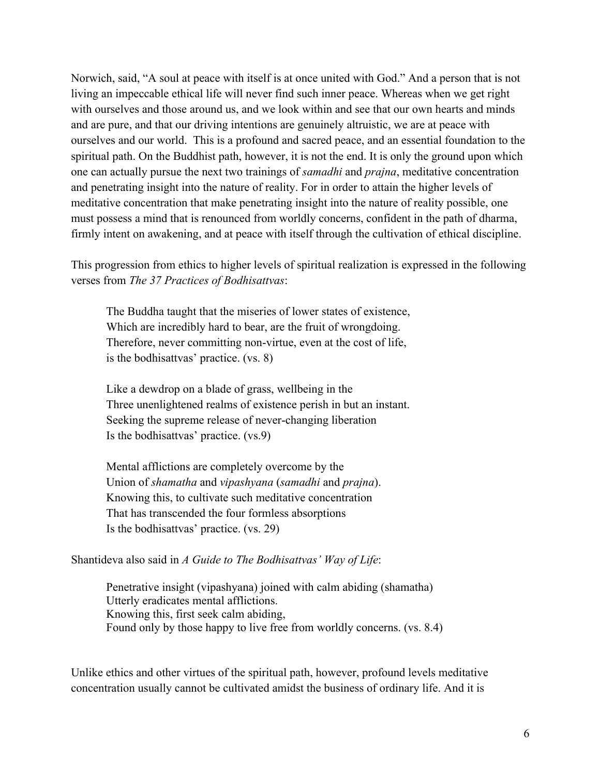Norwich, said, "A soul at peace with itself is at once united with God." And a person that is not living an impeccable ethical life will never find such inner peace. Whereas when we get right with ourselves and those around us, and we look within and see that our own hearts and minds and are pure, and that our driving intentions are genuinely altruistic, we are at peace with ourselves and our world. This is a profound and sacred peace, and an essential foundation to the spiritual path. On the Buddhist path, however, it is not the end. It is only the ground upon which one can actually pursue the next two trainings of *samadhi* and *prajna*, meditative concentration and penetrating insight into the nature of reality. For in order to attain the higher levels of meditative concentration that make penetrating insight into the nature of reality possible, one must possess a mind that is renounced from worldly concerns, confident in the path of dharma, firmly intent on awakening, and at peace with itself through the cultivation of ethical discipline.

This progression from ethics to higher levels of spiritual realization is expressed in the following verses from *The 37 Practices of Bodhisattvas*:

The Buddha taught that the miseries of lower states of existence, Which are incredibly hard to bear, are the fruit of wrongdoing. Therefore, never committing non-virtue, even at the cost of life, is the bodhisattvas' practice. (vs. 8)

Like a dewdrop on a blade of grass, wellbeing in the Three unenlightened realms of existence perish in but an instant. Seeking the supreme release of never-changing liberation Is the bodhisattvas' practice. (vs.9)

Mental afflictions are completely overcome by the Union of *shamatha* and *vipashyana* (*samadhi* and *prajna*). Knowing this, to cultivate such meditative concentration That has transcended the four formless absorptions Is the bodhisattvas' practice. (vs. 29)

## Shantideva also said in *A Guide to The Bodhisattvas' Way of Life*:

Penetrative insight (vipashyana) joined with calm abiding (shamatha) Utterly eradicates mental afflictions. Knowing this, first seek calm abiding, Found only by those happy to live free from worldly concerns. (vs. 8.4)

Unlike ethics and other virtues of the spiritual path, however, profound levels meditative concentration usually cannot be cultivated amidst the business of ordinary life. And it is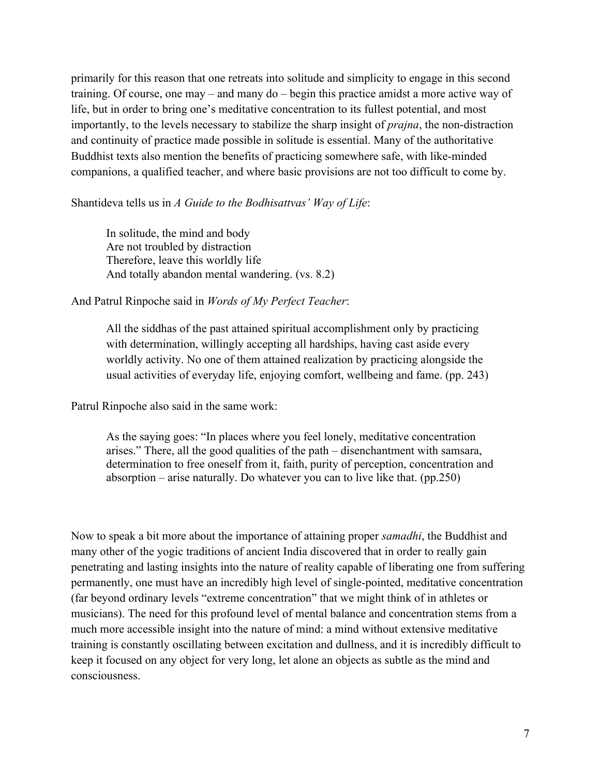primarily for this reason that one retreats into solitude and simplicity to engage in this second training. Of course, one may – and many do – begin this practice amidst a more active way of life, but in order to bring one's meditative concentration to its fullest potential, and most importantly, to the levels necessary to stabilize the sharp insight of *prajna*, the non-distraction and continuity of practice made possible in solitude is essential. Many of the authoritative Buddhist texts also mention the benefits of practicing somewhere safe, with like-minded companions, a qualified teacher, and where basic provisions are not too difficult to come by.

Shantideva tells us in *A Guide to the Bodhisattvas' Way of Life*:

In solitude, the mind and body Are not troubled by distraction Therefore, leave this worldly life And totally abandon mental wandering. (vs. 8.2)

### And Patrul Rinpoche said in *Words of My Perfect Teacher*:

All the siddhas of the past attained spiritual accomplishment only by practicing with determination, willingly accepting all hardships, having cast aside every worldly activity. No one of them attained realization by practicing alongside the usual activities of everyday life, enjoying comfort, wellbeing and fame. (pp. 243)

Patrul Rinpoche also said in the same work:

As the saying goes: "In places where you feel lonely, meditative concentration arises." There, all the good qualities of the path – disenchantment with samsara, determination to free oneself from it, faith, purity of perception, concentration and absorption – arise naturally. Do whatever you can to live like that. (pp.250)

Now to speak a bit more about the importance of attaining proper *samadhi*, the Buddhist and many other of the yogic traditions of ancient India discovered that in order to really gain penetrating and lasting insights into the nature of reality capable of liberating one from suffering permanently, one must have an incredibly high level of single-pointed, meditative concentration (far beyond ordinary levels "extreme concentration" that we might think of in athletes or musicians). The need for this profound level of mental balance and concentration stems from a much more accessible insight into the nature of mind: a mind without extensive meditative training is constantly oscillating between excitation and dullness, and it is incredibly difficult to keep it focused on any object for very long, let alone an objects as subtle as the mind and consciousness.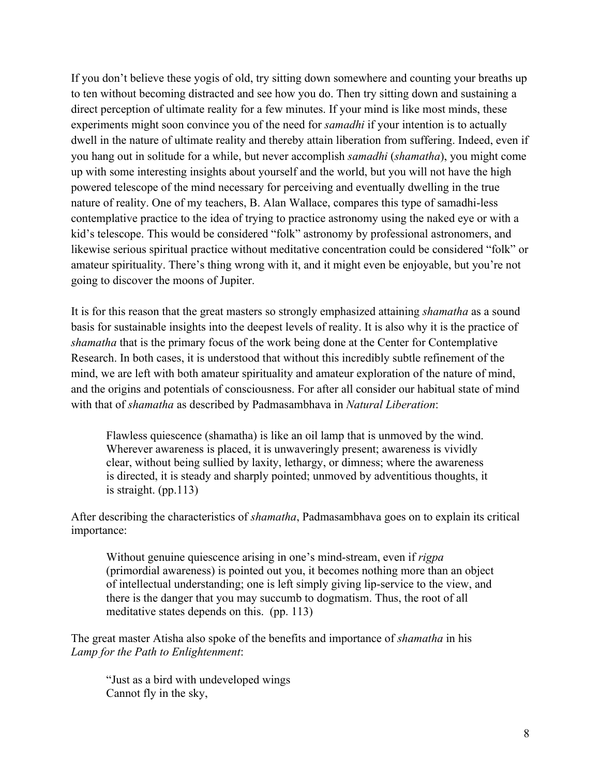If you don't believe these yogis of old, try sitting down somewhere and counting your breaths up to ten without becoming distracted and see how you do. Then try sitting down and sustaining a direct perception of ultimate reality for a few minutes. If your mind is like most minds, these experiments might soon convince you of the need for *samadhi* if your intention is to actually dwell in the nature of ultimate reality and thereby attain liberation from suffering. Indeed, even if you hang out in solitude for a while, but never accomplish *samadhi* (*shamatha*), you might come up with some interesting insights about yourself and the world, but you will not have the high powered telescope of the mind necessary for perceiving and eventually dwelling in the true nature of reality. One of my teachers, B. Alan Wallace, compares this type of samadhi-less contemplative practice to the idea of trying to practice astronomy using the naked eye or with a kid's telescope. This would be considered "folk" astronomy by professional astronomers, and likewise serious spiritual practice without meditative concentration could be considered "folk" or amateur spirituality. There's thing wrong with it, and it might even be enjoyable, but you're not going to discover the moons of Jupiter.

It is for this reason that the great masters so strongly emphasized attaining *shamatha* as a sound basis for sustainable insights into the deepest levels of reality. It is also why it is the practice of *shamatha* that is the primary focus of the work being done at the Center for Contemplative Research. In both cases, it is understood that without this incredibly subtle refinement of the mind, we are left with both amateur spirituality and amateur exploration of the nature of mind, and the origins and potentials of consciousness. For after all consider our habitual state of mind with that of *shamatha* as described by Padmasambhava in *Natural Liberation*:

Flawless quiescence (shamatha) is like an oil lamp that is unmoved by the wind. Wherever awareness is placed, it is unwaveringly present; awareness is vividly clear, without being sullied by laxity, lethargy, or dimness; where the awareness is directed, it is steady and sharply pointed; unmoved by adventitious thoughts, it is straight. (pp.113)

After describing the characteristics of *shamatha*, Padmasambhava goes on to explain its critical importance:

Without genuine quiescence arising in one's mind-stream, even if *rigpa* (primordial awareness) is pointed out you, it becomes nothing more than an object of intellectual understanding; one is left simply giving lip-service to the view, and there is the danger that you may succumb to dogmatism. Thus, the root of all meditative states depends on this. (pp. 113)

The great master Atisha also spoke of the benefits and importance of *shamatha* in his *Lamp for the Path to Enlightenment*:

"Just as a bird with undeveloped wings Cannot fly in the sky,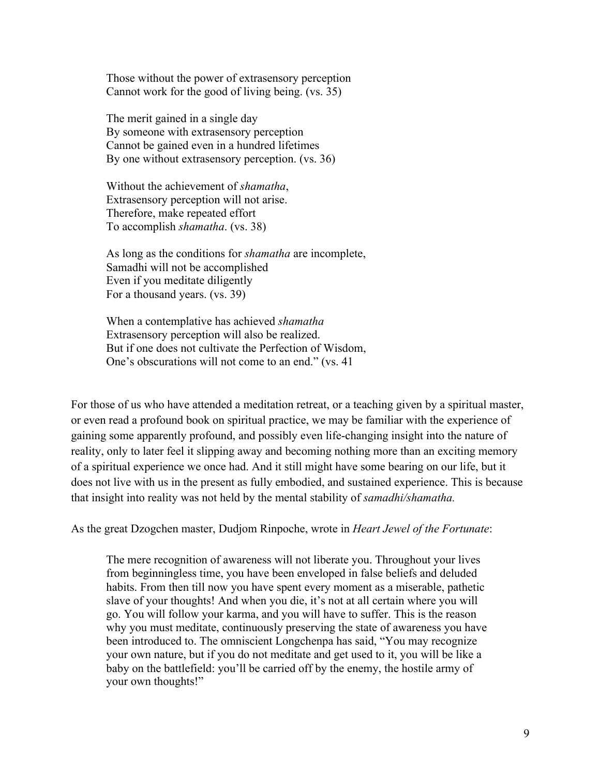Those without the power of extrasensory perception Cannot work for the good of living being. (vs. 35)

The merit gained in a single day By someone with extrasensory perception Cannot be gained even in a hundred lifetimes By one without extrasensory perception. (vs. 36)

Without the achievement of *shamatha*, Extrasensory perception will not arise. Therefore, make repeated effort To accomplish *shamatha*. (vs. 38)

As long as the conditions for *shamatha* are incomplete, Samadhi will not be accomplished Even if you meditate diligently For a thousand years. (vs. 39)

When a contemplative has achieved *shamatha* Extrasensory perception will also be realized. But if one does not cultivate the Perfection of Wisdom, One's obscurations will not come to an end." (vs. 41

For those of us who have attended a meditation retreat, or a teaching given by a spiritual master, or even read a profound book on spiritual practice, we may be familiar with the experience of gaining some apparently profound, and possibly even life-changing insight into the nature of reality, only to later feel it slipping away and becoming nothing more than an exciting memory of a spiritual experience we once had. And it still might have some bearing on our life, but it does not live with us in the present as fully embodied, and sustained experience. This is because that insight into reality was not held by the mental stability of *samadhi/shamatha.*

As the great Dzogchen master, Dudjom Rinpoche, wrote in *Heart Jewel of the Fortunate*:

The mere recognition of awareness will not liberate you. Throughout your lives from beginningless time, you have been enveloped in false beliefs and deluded habits. From then till now you have spent every moment as a miserable, pathetic slave of your thoughts! And when you die, it's not at all certain where you will go. You will follow your karma, and you will have to suffer. This is the reason why you must meditate, continuously preserving the state of awareness you have been introduced to. The omniscient Longchenpa has said, "You may recognize your own nature, but if you do not meditate and get used to it, you will be like a baby on the battlefield: you'll be carried off by the enemy, the hostile army of your own thoughts!"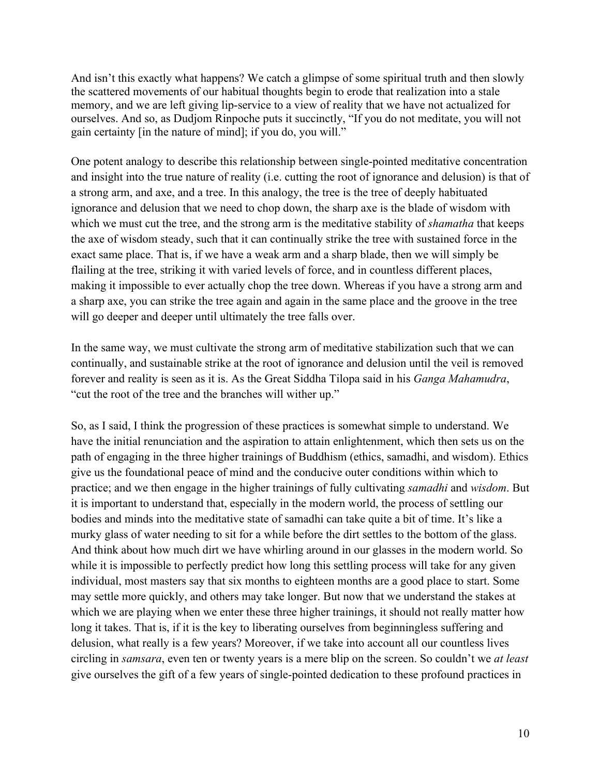And isn't this exactly what happens? We catch a glimpse of some spiritual truth and then slowly the scattered movements of our habitual thoughts begin to erode that realization into a stale memory, and we are left giving lip-service to a view of reality that we have not actualized for ourselves. And so, as Dudjom Rinpoche puts it succinctly, "If you do not meditate, you will not gain certainty [in the nature of mind]; if you do, you will."

One potent analogy to describe this relationship between single-pointed meditative concentration and insight into the true nature of reality (i.e. cutting the root of ignorance and delusion) is that of a strong arm, and axe, and a tree. In this analogy, the tree is the tree of deeply habituated ignorance and delusion that we need to chop down, the sharp axe is the blade of wisdom with which we must cut the tree, and the strong arm is the meditative stability of *shamatha* that keeps the axe of wisdom steady, such that it can continually strike the tree with sustained force in the exact same place. That is, if we have a weak arm and a sharp blade, then we will simply be flailing at the tree, striking it with varied levels of force, and in countless different places, making it impossible to ever actually chop the tree down. Whereas if you have a strong arm and a sharp axe, you can strike the tree again and again in the same place and the groove in the tree will go deeper and deeper until ultimately the tree falls over.

In the same way, we must cultivate the strong arm of meditative stabilization such that we can continually, and sustainable strike at the root of ignorance and delusion until the veil is removed forever and reality is seen as it is. As the Great Siddha Tilopa said in his *Ganga Mahamudra*, "cut the root of the tree and the branches will wither up."

So, as I said, I think the progression of these practices is somewhat simple to understand. We have the initial renunciation and the aspiration to attain enlightenment, which then sets us on the path of engaging in the three higher trainings of Buddhism (ethics, samadhi, and wisdom). Ethics give us the foundational peace of mind and the conducive outer conditions within which to practice; and we then engage in the higher trainings of fully cultivating *samadhi* and *wisdom*. But it is important to understand that, especially in the modern world, the process of settling our bodies and minds into the meditative state of samadhi can take quite a bit of time. It's like a murky glass of water needing to sit for a while before the dirt settles to the bottom of the glass. And think about how much dirt we have whirling around in our glasses in the modern world. So while it is impossible to perfectly predict how long this settling process will take for any given individual, most masters say that six months to eighteen months are a good place to start. Some may settle more quickly, and others may take longer. But now that we understand the stakes at which we are playing when we enter these three higher trainings, it should not really matter how long it takes. That is, if it is the key to liberating ourselves from beginningless suffering and delusion, what really is a few years? Moreover, if we take into account all our countless lives circling in *samsara*, even ten or twenty years is a mere blip on the screen. So couldn't we *at least*  give ourselves the gift of a few years of single-pointed dedication to these profound practices in